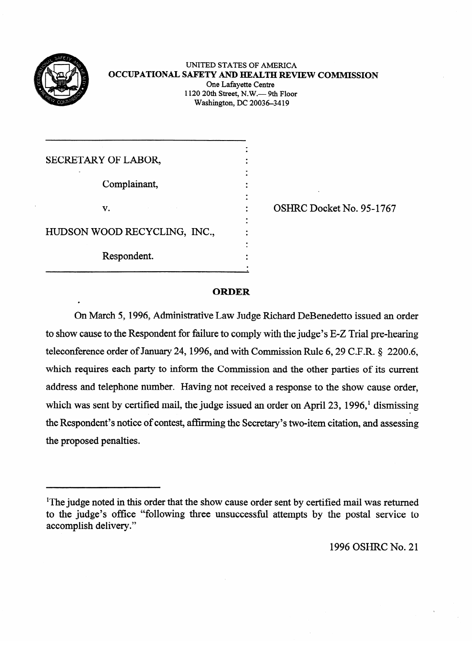

## UNITED STATES OF AMERICA **OCCUPATIONAL SAFETY AND HEALTH REVIEW COMMISSION**<br>One Lafavette Centre 1120 20th Street, N.W.- 9th Floor  $1120$  20th Street, N.W. $-$  9th Floor  $w$  ashington, DC 20036-3412

| SECRETARY OF LABOR,          |  |
|------------------------------|--|
|                              |  |
| Complainant,                 |  |
|                              |  |
| $\mathbf{v}$ .               |  |
|                              |  |
| HUDSON WOOD RECYCLING, INC., |  |
|                              |  |
| Respondent.                  |  |
|                              |  |

OSHRC Docket No. 95-1767

### **ORDER**

On March 5, 1996, Administrative Law Judge Richard DeBenedetto issued an order to show cause to the Respondent for failure to comply with the judge's E-Z Trial pre-hearing teleconference order of January 24, 1996, and with Commission Rule 6, 29 C.F.R.  $\S$  2200.6, which requires each party to inform the Commission and the other parties of its current address and telephone number. Having not received a response to the show cause order, which was sent by certified mail, the judge issued an order on April 23, 1996,<sup>1</sup> dismissing the Respondent's notice of contest, affirming the Secretary's two-item citation, and assessing the proposed penalties.

1996 OSHRC No. 21

<sup>&</sup>lt;sup>1</sup>The judge noted in this order that the show cause order sent by certified mail was returned to the judge's office "following three unsuccessful attempts by the postal service to accomplish delivery." to the judge's office "following three unsuccessful attempts by the postal service to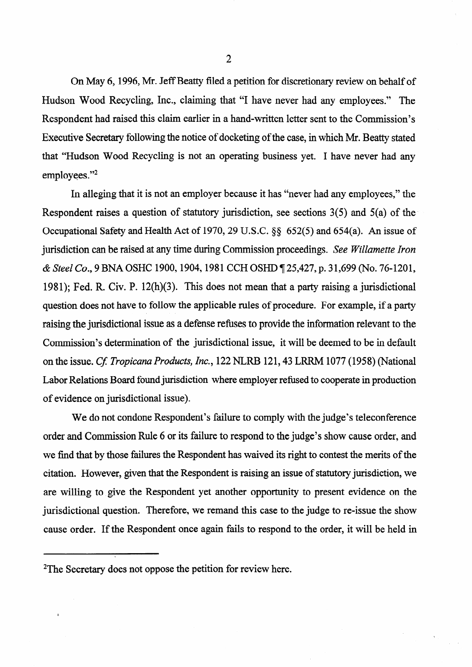On May 6, 1996, Mr. Jeff Beatty filed a petition for discretionary review on behalf of Hudson Wood Recycling, Inc., claiming that "I have never had any employees." The Respondent had raised this claim earlier in a hand-written letter sent to the Commission's Executive Secretary following the notice of docketing of the case, in which Mr. Beatty stated that "Hudson Wood Recycling is not an operating business yet. I have never had any employees."<sup>2</sup>

In alleging that it is not an employer because it has "never had any employees," the Respondent raises a question of statutory jurisdiction, see sections 3(5) and 5(a) of the Occupational Safety and Health Act of 1970,29 U.S.C. \$8 652(5) and 654(a). An issue of jurisdiction can be raised at any time during Commission proceedings. *See Willamette Iron & Steel Co., 9* BNA OSHC 1900,1904,198 1 CCH OSHD 7 25,427, p. 3 1,699 (No. 76-1201, 1981); Fed. R. Civ. P.  $12(h)(3)$ . This does not mean that a party raising a jurisdictional question does not have to follow the applicable rules of procedure. For example, if a party raising the jurisdictional issue as a defense refuses to provide the information relevant to the Commission's determination of the jurisdictional issue, it will be deemed to be in default on the issue. *Cf. Tropicana Products, Inc.*, 122 NLRB 121, 43 LRRM 1077 (1958) (National Labor Relations Board found jurisdiction where employer refused to cooperate in production of evidence on jurisdictional issue).

We do not condone Respondent's failure to comply with the judge's teleconference order and Commission Rule 6 or its failure to respond to the judge's show cause order, and we find that by those failures the Respondent has waived its right to contest the merits of the citation. However, given that the Respondent is raising an issue of statutory jurisdiction, we are willing to give the Respondent yet another opportunity to present evidence on the jurisdictional question. Therefore, we remand this case to the judge to re-issue the show cause order. If the Respondent once again fails to respond to the order, it will be held'in

<sup>2</sup>The Secretary does not oppose the petition for review here.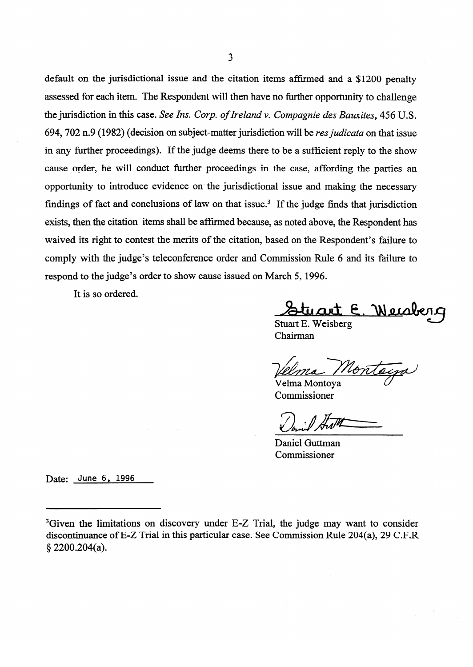default on the jurisdictional issue and the citation items affrmed and a \$1200 penalty assessed for each item. The Respondent will then have no further opportunity to challenge the jurisdiction in this case. See *Ins. Corp. of Ireland v. Compagnie des Bauxites, 456* U.S. 694,702 n.9 (1982) (decision on subject-matter jurisdiction will be *res judicata* on that issue in any further proceedings). If the judge deems there to be a sufficient reply to the show cause order, he will conduct further proceedings in the case, affording the parties an opportunity to introduce evidence on the jurisdictional issue and making the necessary findings of fact and conclusions of law on that issue.<sup>3</sup> If the judge finds that jurisdiction exists, then the citation items shall be affirmed because, as noted above, the Respondent has waived its right to contest the merits of the citation, based on the Respondent's failure to comply with the judge's teleconference order and Commission Rule 6 and its failure to respond to the judge's order to show cause issued on March 5, 1996.

 $\mathbf{F}$  is a order to show cause is supposed on  $\mathbf{F}$ 

<u>Stuart E. Wei</u>sberg

Stuart E. Weisberg Chairman

Nonta

Velma Montoya Commissioner

 $C_{1}$   $\overline{t}$ 

Daniel Guttman Commissioner

Date: June 6, 1996

<sup>&</sup>lt;sup>3</sup>Given the limitations on discovery under E-Z Trial, the judge may want to consider discontinuance of E-Z Trial in this particular case. See Commission Rule 204(a), 29 C.F.R  $\S 2200.204(a)$ .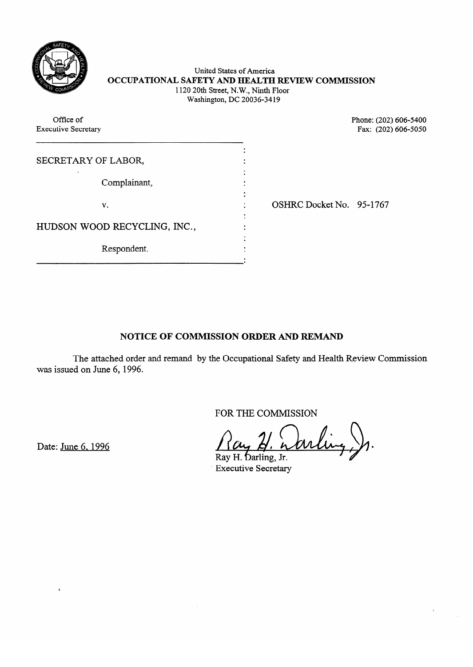

# United States of America<br>North A NTN TTN A T OUT **OCCUPATIONAL SAFETY AND HEALTH REVIEW COMMISSION**  1120 20th Street, N.W., Ninth Floor  $W$  washington,  $D$   $C$  20036-3412

| Office of<br><b>Executive Secretary</b> |                          | Phone: (202) 606-5400<br>Fax: (202) 606-5050 |
|-----------------------------------------|--------------------------|----------------------------------------------|
| SECRETARY OF LABOR,                     |                          |                                              |
| Complainant,                            |                          |                                              |
| v.                                      | OSHRC Docket No. 95-1767 |                                              |
| HUDSON WOOD RECYCLING, INC.,            |                          |                                              |
| Respondent.                             |                          |                                              |

# NOTICE OF COMMISSION ORDER AND REMAND

The attached order and remand by the Occupational Safety and Health Review Commission  $\alpha$  on safety, the Occupational Safety and  $\alpha$ 

FOR THE COMMISSION

 $\bigwedge$   $\bigwedge$ 

Date: June 6, 1996

Ray H. Darling, Jr. **Executive Secretary**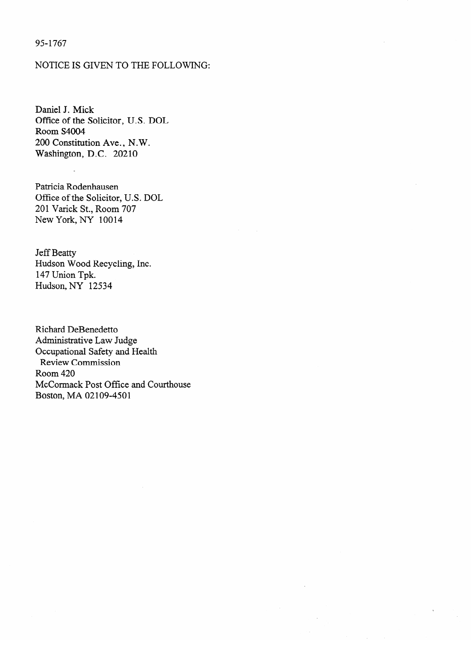## 95-l 767

## NOTICE IS GIVEN TO THE FOLLOWING:

Daniel J. Mick<br>Office of the Solicitor, U.S. DOL Room S4004 200 Constitution Ave., N.W. Washington, D.C. 20210 Washington, D.C. 20210

Patricia Rodenhausen Office of the Solicitor, U.S. DOL 201 Varick St., Room 707 New York, NY 10014

**Jeff Beatty** Hudson Wood Recycling, Inc. 147 Union Tpk. Hudson, NY 12534

**Richard DeBenedetto** Administrative Law Judge<br>Occupational Safety and Health  $\alpha$  -  $\alpha$  Judge Law  $\alpha$  Judge Law  $\alpha$  $\text{N}}$   $\text{N}}$  and  $\text{N}}$  and  $\text{N}}$  and  $\text{N}}$  and  $\text{N}}$  and  $\text{N}}$  and  $\text{N}}$  and  $\text{N}}$  and  $\text{N}}$  and  $\text{N}}$  and  $\text{N}}$  and  $\text{N}}$  and  $\text{N}}$  and  $\text{N}}$  and  $\text{N}}$  and  $\text{N}}$  and  $\text{N}}$  and  $\text{N}}$  a Room 420<br>McCormack Post Office and Courthouse nivooninat<br>Deeten M  $\sim$  Corolly that Court Office and  $\sim$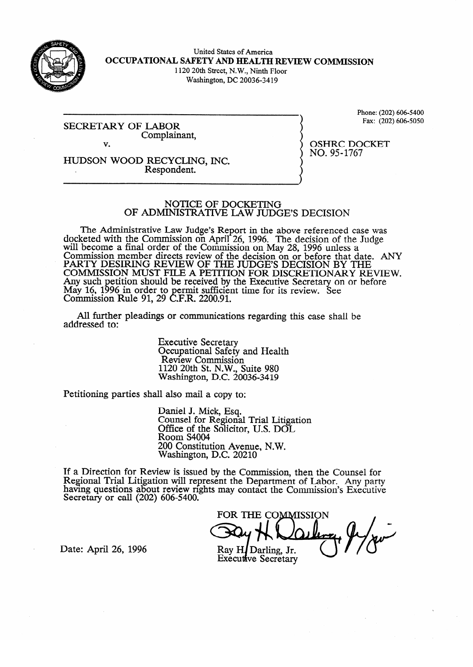

United States of America **OCCUPATIONAL SAFETY AND HEALTH REVIEW COMMISSION**  1120 20th Street, N.W., Ninth Floor Washington, DC 20036-34 19

SECRETARY OF COMPLAIN Complainant, Phone: (202) 606-5400<br>Fax: (202) 606-5050 Fax: (202) 606-506-6050

HUDSON WOOD RECYCLING, INC. Respondent.

OSHRC DOCKET<br>NO. 95-1767 no. 951767<br>1

# NOTICE OF DOCKETING<br>OF ADMINISTRATIVE LAW JUDGE'S DECISION

 $\mathcal{O}(\mathcal{A})$  and  $\mathcal{I}$  be the contract of  $\mathcal{I}$  $\epsilon$  and  $\epsilon$  are  $\epsilon$  and  $\epsilon$  and  $\epsilon$  above  $\epsilon$  above  $\epsilon$  above references with  $\epsilon$  above  $\epsilon$  was above  $\epsilon$  was above  $\epsilon$  and  $\epsilon$  and  $\epsilon$  and  $\epsilon$  and  $\epsilon$  and  $\epsilon$  and  $\epsilon$  and  $\epsilon$  and  $\epsilon$  and  $\epsilon$  and  $\epsilon$  will become a final order of the Commission on May 28, 1996 unless a Commission member directs review of the decision on or before that diverse procession and  $\frac{1}{2}$ FAKT I DESIKING KEVIEW OF THE JUDGE'S DECISION BY THE TOMATION AND BEFORE THE ANGELE THAT DECISION OF BEFORE T COMMISSION MOST FILE A PETITION FOR DISCRETIONARY RE Any such petition should be received by the Executive Secretary on or before way 10, 1<br>Commissi Commussion by in order to permit sufficient time for its review. See<br> $\overline{P}$  Pula 01.20 CEP 2200.01 If NUIC 71, 27 C.F.N.  $2200.71$ .

All further pleadings or communications regarding this case shall be  $A$  further pleading or communications regarding the communications regarding the case shall be shall be shall be shall be shall be shall be shall be shall be shall be shall be shall be shall be shall be shall be shall be

> **Executive Secretary** Occupational Safety and Health<br>Review Commission  $1120$  20th St. N.W., Suite 980 Washington, D.C. 20  $\overline{0}$ , suite state state

Petitioning parties shall also mail a copy to:

Daniel J. Mick, Esq.<br>Counsel for Regional Trial Litigation Office of the Solicitor, U.S. DOL Room S4004 200 Constitution Avenue, N.W. Washington, D.C. 20210

 $200$  $ew$  is issued by the Com naving questions about review rights may contact the Commission's Executive Secretive  $S$ cci ctary of Cali (202) 000-3400.

FOR THE COMMISSION Ray H Darling, Jr. Executive Secretary

Date: April 26, 1996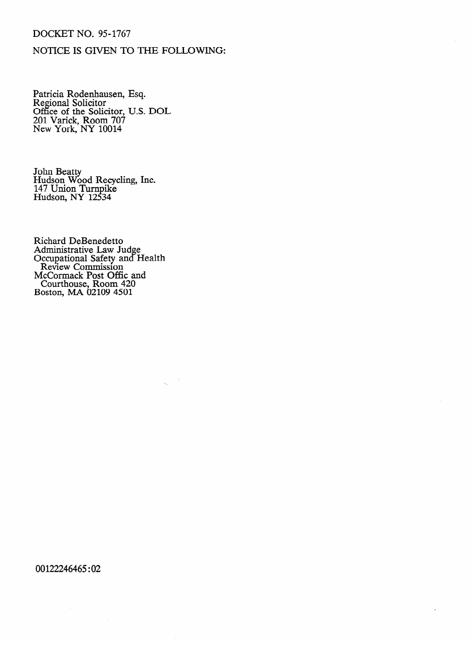# DOCKET NO. 95-1767

# NOTICE IS GIVEN TO THE FOLLOWING:

r atticia Rodenhausen, Esq.<br>Regional Solicitor Regional Solicitor<br>Office of the Solic Office of the Solicitor, O.S. DOL<br>201 Varick Room  $707$ 201 Varick, Room 707 New York, NY 10011

Hudson Wo 147 Union Turnpike Hudson, NY 12534 Hudson, NY 12 s 34

Richard DeBenedetto Administrative Law.  $O_{\text{ccupational}}$  Satety and H Review Commission ICCOIMACK POSI OII COUTINOUSE, ROOM 420<br>Poston, MA 02100 4501  $O(SU)$ , MA  $OZ109$  4201

 $\mathcal{L}$ 

 $\hat{\mathbf{v}}$ 

00122246465:02

 $\sim$